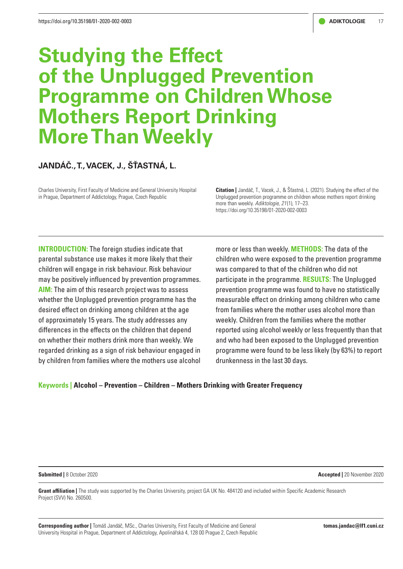# **Studying the Effect of the Unplugged Prevention Programme on Children Whose Mothers Report Drinking More Than Weekly**

# **JANDÁČ., T., VACEK, J., ŠŤASTNÁ, L.**

Charles University, First Faculty of Medicine and General University Hospital in Prague, Department of Addictology, Prague, Czech Republic

**Citation |** Jandáč, T., Vacek, J., & Šťastná, L. (2021). Studying the effect of the Unplugged prevention programme on children whose mothers report drinking more than weekly. *Adiktologie, 21* (1), 17–23. https://doi.org/10.35198/01-2020-002-0003

**INTRODUCTION:** The foreign studies indicate that parental substance use makes it more likely that their children will engage in risk behaviour. Risk behaviour may be positively influenced by prevention programmes. **AIM:** The aim of this research project was to assess whether the Unplugged prevention programme has the desired effect on drinking among children at the age of approximately 15 years. The study addresses any differences in the effects on the children that depend on whether their mothers drink more than weekly. We regarded drinking as a sign of risk behaviour engaged in by children from families where the mothers use alcohol

more or less than weekly. **METHODS:** The data of the children who were exposed to the prevention programme was compared to that of the children who did not participate in the programme. **RESULTS:** The Unplugged prevention programme was found to have no statistically measurable effect on drinking among children who came from families where the mother uses alcohol more than weekly. Children from the families where the mother reported using alcohol weekly or less frequently than that and who had been exposed to the Unplugged prevention programme were found to be less likely (by 63%) to report drunkenness in the last 30 days.

#### **Keywords | Alcohol – Prevention – Children – Mothers Drinking with Greater Frequency**

**Submitted |** 8 October 2020 **Accepted |** 20 November 2020

**Grant affiliation |** The study was supported by the Charles University, project GA UK No. 484120 and included within Specific Academic Research Project (SVV) No. 260500.

**Corresponding author |** Tomáš Jandáč, MSc., Charles University, First Faculty of Medicine and General University Hospital in Prague, Department of Addictology, Apolinářská 4, 128 00 Prague 2, Czech Republic **tomas.jandac@lf1.cuni.cz**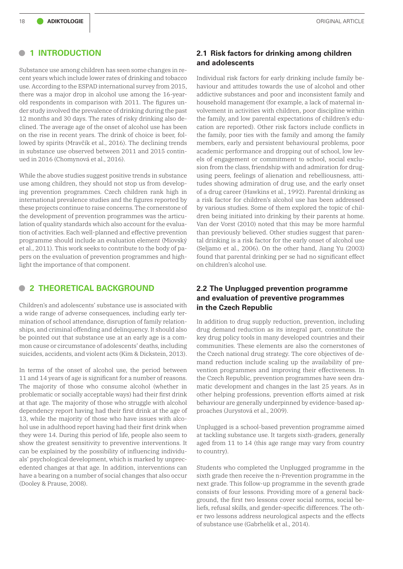#### **• <sup>1</sup> INTRODUCTION**

Substance use among children has seen some changes in recent years which include lower rates of drinking and tobacco use. According to the ESPAD international survey from 2015, there was a major drop in alcohol use among the 16-yearold respondents in comparison with 2011. The figures under study involved the prevalence of drinking during the past 12 months and 30 days. The rates of risky drinking also declined. The average age of the onset of alcohol use has been on the rise in recent years. The drink of choice is beer, followed by spirits (Mravčík et al., 2016). The declining trends in substance use observed between 2011 and 2015 continued in 2016 (Chomynová et al., 2016).

While the above studies suggest positive trends in substance use among children, they should not stop us from developing prevention programmes. Czech children rank high in international prevalence studies and the figures reported by these projects continue to raise concerns. The cornerstone of the development of prevention programmes was the articulation of quality standards which also account for the evaluation of activities. Each well-planned and effective prevention programme should include an evaluation element (Miovský et al., 2011). This work seeks to contribute to the body of papers on the evaluation of prevention programmes and highlight the importance of that component.

# **• <sup>2</sup> THEORETICAL BACKGROUND**

Children's and adolescents' substance use is associated with a wide range of adverse consequences, including early termination of school attendance, disruption of family relationships, and criminal offending and delinquency. It should also be pointed out that substance use at an early age is a common cause or circumstance of adolescents' deaths, including suicides, accidents, and violent acts (Kim & Dickstein, 2013).

In terms of the onset of alcohol use, the period between 11 and 14 years of age is significant for a number of reasons. The majority of those who consume alcohol (whether in problematic or socially acceptable ways) had their first drink at that age. The majority of those who struggle with alcohol dependency report having had their first drink at the age of 13, while the majority of those who have issues with alcohol use in adulthood report having had their first drink when they were 14. During this period of life, people also seem to show the greatest sensitivity to preventive interventions. It can be explained by the possibility of influencing individuals' psychological development, which is marked by unprecedented changes at that age. In addition, interventions can have a bearing on a number of social changes that also occur (Dooley & Prause, 2008).

#### **2.1 Risk factors for drinking among children and adolescents**

Individual risk factors for early drinking include family behaviour and attitudes towards the use of alcohol and other addictive substances and poor and inconsistent family and household management (for example, a lack of maternal involvement in activities with children, poor discipline within the family, and low parental expectations of children's education are reported). Other risk factors include conflicts in the family, poor ties with the family and among the family members, early and persistent behavioural problems, poor academic performance and dropping out of school, low levels of engagement or commitment to school, social exclusion from the class, friendship with and admiration for drugusing peers, feelings of alienation and rebelliousness, attitudes showing admiration of drug use, and the early onset of a drug career (Hawkins et al., 1992). Parental drinking as a risk factor for children's alcohol use has been addressed by various studies. Some of them explored the topic of children being initiated into drinking by their parents at home. Van der Vorst (2010) noted that this may be more harmful than previously believed. Other studies suggest that parental drinking is a risk factor for the early onset of alcohol use (Seljamo et al., 2006). On the other hand, Jiang Yu (2003) found that parental drinking per se had no significant effect on children's alcohol use.

## **2.2 The Unplugged prevention programme and evaluation of preventive programmes in the Czech Republic**

In addition to drug supply reduction, prevention, including drug demand reduction as its integral part, constitute the key drug policy tools in many developed countries and their communities. These elements are also the cornerstones of the Czech national drug strategy. The core objectives of demand reduction include scaling up the availability of prevention programmes and improving their effectiveness. In the Czech Republic, prevention programmes have seen dramatic development and changes in the last 25 years. As in other helping professions, prevention efforts aimed at risk behaviour are generally underpinned by evidence-based approaches (Jurystová et al., 2009).

Unplugged is a school-based prevention programme aimed at tackling substance use. It targets sixth-graders, generally aged from 11 to 14 (this age range may vary from country to country).

Students who completed the Unplugged programme in the sixth grade then receive the n-Prevention programme in the next grade. This follow-up programme in the seventh grade consists of four lessons. Providing more of a general background, the first two lessons cover social norms, social beliefs, refusal skills, and gender-specific differences. The other two lessons address neurological aspects and the effects of substance use (Gabrhelík et al., 2014).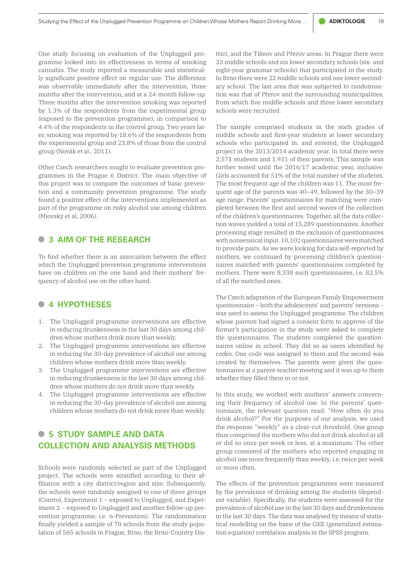One study focusing on evaluation of the Unplugged programme looked into its effectiveness in terms of smoking cannabis. The study reported a measurable and statistically significant positive effect on regular use. The difference was observable immediately after the intervention, three months after the intervention, and at a 24-month follow-up. Three months after the intervention smoking was reported by 1.3% of the respondents from the experimental group (exposed to the prevention programme), in comparison to 4.4% of the respondents in the control group. Two years later, smoking was reported by 18.6% of the respondents from the experimental group and 23.8% of those from the control group (Novák et al., 2011).

Other Czech researchers sought to evaluate prevention programmes in the Prague 6 District. The main objective of this project was to compare the outcomes of basic prevention and a community prevention programme. The study found a positive effect of the interventions implemented as part of the programme on risky alcohol use among children (Miovský et al, 2006).

# **• <sup>3</sup> AIM OF THE RESEARCH**

To find whether there is an association between the effect which the Unplugged prevention programme interventions have on children on the one hand and their mothers' frequency of alcohol use on the other hand.

#### **• <sup>4</sup> HYPOTHESES**

- 1. The Unplugged programme interventions are effective in reducing drunkenness in the last 30 days among children whose mothers drink more than weekly.
- 2. The Unplugged programme interventions are effective in reducing the 30-day prevalence of alcohol use among children whose mothers drink more than weekly.
- 3. The Unplugged programme interventions are effective in reducing drunkenness in the last 30 days among children whose mothers do not drink more than weekly.
- 4. The Unplugged programme interventions are effective in reducing the 30-day prevalence of alcohol use among children whose mothers do not drink more than weekly.

# **• <sup>5</sup> STUDY SAMPLE AND DATA COLLECTION AND ANALYSIS METHODS**

Schools were randomly selected as part of the Unplugged project. The schools were stratified according to their affiliation with a city district/region and size. Subsequently, the schools were randomly assigned to one of three groups (Control, Experiment 1 – exposed to Unplugged, and Experiment 2 – exposed to Unplugged and another follow-up prevention programme, i.e. n-Prevention). The randomisation finally yielded a sample of 70 schools from the study population of 565 schools in Prague, Brno, the Brno-Country District, and the Tišnov and Přerov areas. In Prague there were 33 middle schools and six lower secondary schools (six- and eight-year grammar schools) that participated in the study. In Brno there were 22 middle schools and one lower secondary school. The last area that was subjected to randomisation was that of Přerov and the surrounding municipalities, from which five middle schools and three lower secondary schools were recruited.

The sample comprised students in the sixth grades of middle schools and first-year students at lower secondary schools who participated in, and entered, the Unplugged project in the 2013/2014 academic year. In total there were 2,571 students and 1,931 of their parents. This sample was further tested until the 2016/17 academic year, inclusive. Girls accounted for 51% of the total number of the students. The most frequent age of the children was 11. The most frequent age of the parents was 40–49, followed by the 30–39 age range. Parents' questionnaires for matching were completed between the first and second waves of the collection of the children's questionnaires. Together, all the data collection waves yielded a total of 15,289 questionnaires. Another processing stage resulted in the exclusion of questionnaires with nonsensical input. 10,102 questionnaires were matched to provide pairs. As we were looking for data self-reported by mothers, we continued by processing children's questionnaires matched with parents' questionnaires completed by mothers. There were 8,338 such questionnaires, i.e. 82.5% of all the matched ones.

The Czech adaptation of the European Family Empowerment questionnaire – both the adolescents' and parents' versions – was used to assess the Unplugged programme. The children whose parents had signed a consent form to approve of the former's participation in the study were asked to complete the questionnaires. The students completed the questionnaires online in school. They did so as users identified by codes. One code was assigned to them and the second was created by themselves. The parents were given the questionnaires at a parent-teacher meeting and it was up to them whether they filled them in or not.

In this study, we worked with mothers' answers concerning their frequency of alcohol use. In the parents' questionnaire, the relevant question read: "How often do you drink alcohol?" For the purposes of our analysis, we used the response "weekly" as a clear-cut threshold. One group thus comprised the mothers who did not drink alcohol at all or did so once per week or less, at a maximum. The other group consisted of the mothers who reported engaging in alcohol use more frequently than weekly, i.e. twice per week or more often.

The effects of the prevention programmes were measured by the prevalence of drinking among the students (dependent variable). Specifically, the students were assessed for the prevalence of alcohol use in the last 30 days and drunkenness in the last 30 days. The data was analysed by means of statistical modelling on the basis of the GEE (generalized estimation equation) correlation analysis in the SPSS program.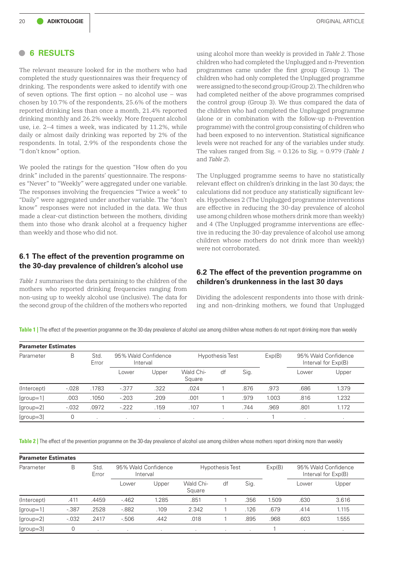#### **• <sup>6</sup> RESULTS**

The relevant measure looked for in the mothers who had completed the study questionnaires was their frequency of drinking. The respondents were asked to identify with one of seven options. The first option – no alcohol use – was chosen by 10.7% of the respondents, 25.6% of the mothers reported drinking less than once a month, 21.4% reported drinking monthly and 26.2% weekly. More frequent alcohol use, i.e. 2–4 times a week, was indicated by 11.2%, while daily or almost daily drinking was reported by 2% of the respondents. In total, 2.9% of the respondents chose the "I don't know" option.

We pooled the ratings for the question "How often do you drink" included in the parents' questionnaire. The responses "Never" to "Weekly" were aggregated under one variable. The responses involving the frequencies "Twice a week" to "Daily" were aggregated under another variable. The "don't know" responses were not included in the data. We thus made a clear-cut distinction between the mothers, dividing them into those who drank alcohol at a frequency higher than weekly and those who did not.

## **6.1 The effect of the prevention programme on the 30-day prevalence of children's alcohol use**

*Table 1* summarises the data pertaining to the children of the mothers who reported drinking frequencies ranging from non-using up to weekly alcohol use (inclusive). The data for the second group of the children of the mothers who reported using alcohol more than weekly is provided in *Table 2*. Those children who had completed the Unplugged and n-Prevention programmes came under the first group (Group 1). The children who had only completed the Unplugged programme were assigned to the second group (Group 2). The children who had completed neither of the above programmes comprised the control group (Group 3). We thus compared the data of the children who had completed the Unplugged programme (alone or in combination with the follow-up n-Prevention programme) with the control group consisting of children who had been exposed to no intervention. Statistical significance levels were not reached for any of the variables under study. The values ranged from Sig. = 0.126 to Sig. = 0.979 (*Table 1* and *Table 2*).

The Unplugged programme seems to have no statistically relevant effect on children's drinking in the last 30 days; the calculations did not produce any statistically significant levels. Hypotheses 2 (The Unplugged programme interventions are effective in reducing the 30-day prevalence of alcohol use among children whose mothers drink more than weekly) and 4 (The Unplugged programme interventions are effective in reducing the 30-day prevalence of alcohol use among children whose mothers do not drink more than weekly) were not corroborated.

#### **6.2 The effect of the prevention programme on children's drunkenness in the last 30 days**

Dividing the adolescent respondents into those with drinking and non-drinking mothers, we found that Unplugged

**Table 1 |** The effect of the prevention programme on the 30-day prevalence of alcohol use among children whose mothers do not report drinking more than weekly

| <b>Parameter Estimates</b> |         |                     |                                 |         |                        |         |      |        |                                            |        |  |  |
|----------------------------|---------|---------------------|---------------------------------|---------|------------------------|---------|------|--------|--------------------------------------------|--------|--|--|
| Parameter                  | B       | <b>Std</b><br>Error | 95% Wald Confidence<br>Interval |         | <b>Hypothesis Test</b> |         |      | Exp(B) | 95% Wald Confidence<br>Interval for Exp(B) |        |  |  |
|                            |         |                     | Lower                           | Upper   | Wald Chi-<br>Square    | df      | Sig. |        | Lower                                      | Upper  |  |  |
| (Intercept)                | $-.028$ | .1783               | $-.377$                         | .322    | .024                   |         | .876 | .973   | .686                                       | 1.379  |  |  |
| $[group=1]$                | .003    | .1050               | $-.203$                         | .209    | .001                   |         | .979 | 1.003  | .816                                       | 1.232  |  |  |
| [group=2]                  | $-.032$ | .0972               | $-.222$                         | .159    | .107                   |         | .744 | .969   | .801                                       | 1.172  |  |  |
| $[group=3]$                |         | . .                 | $\cdot$                         | $\cdot$ | $\sim$                 | $\cdot$ | . .  |        |                                            | $\sim$ |  |  |

**Table 2 |** The effect of the prevention programme on the 30-day prevalence of alcohol use among children whose mothers report drinking more than weekly

| <b>Parameter Estimates</b> |         |               |                                 |       |                        |    |      |        |                                            |         |  |
|----------------------------|---------|---------------|---------------------------------|-------|------------------------|----|------|--------|--------------------------------------------|---------|--|
| Parameter                  | B       | Std.<br>Error | 95% Wald Confidence<br>Interval |       | <b>Hypothesis Test</b> |    |      | Exp(B) | 95% Wald Confidence<br>Interval for Exp(B) |         |  |
|                            |         |               | Lower                           | Upper | Wald Chi-<br>Square    | df | Sig. |        | Lower                                      | Upper   |  |
| (Intercept)                | .411    | .4459         | $-462$                          | 1.285 | .851                   |    | .356 | 1.509  | .630                                       | 3.616   |  |
| $[group=1]$                | $-.387$ | .2528         | $-0.882$                        | .109  | 2.342                  |    | .126 | .679   | .414                                       | 1.115   |  |
| [group=2]                  | $-.032$ | .2417         | $-506$                          | .442  | .018                   |    | .895 | .968   | .603                                       | 1.555   |  |
| $[group=3]$                |         |               |                                 |       | $\cdot$                |    |      |        |                                            | $\cdot$ |  |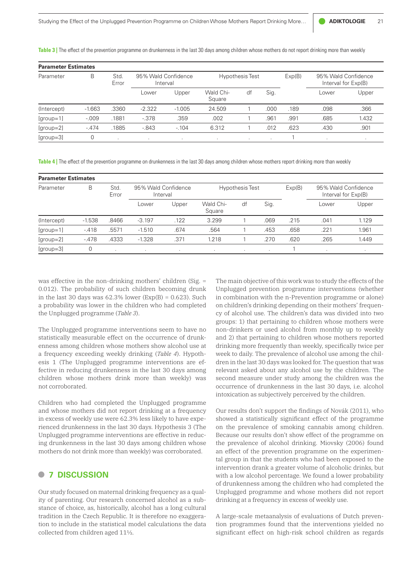**Table 3 |** The effect of the prevention programme on drunkenness in the last 30 days among children whose mothers do not report drinking more than weekly

| <b>Parameter Estimates</b> |          |                     |                                 |          |                        |    |      |        |                                            |       |  |
|----------------------------|----------|---------------------|---------------------------------|----------|------------------------|----|------|--------|--------------------------------------------|-------|--|
| Parameter                  | B        | <b>Std</b><br>Error | 95% Wald Confidence<br>Interval |          | <b>Hypothesis Test</b> |    |      | Exp(B) | 95% Wald Confidence<br>Interval for Exp(B) |       |  |
|                            |          |                     | Lower                           | Upper    | Wald Chi-<br>Square    | df | Sig. |        | Lower                                      | Upper |  |
| (Intercept)                | $-1.663$ | .3360               | $-2.322$                        | $-1.005$ | 24.509                 |    | .000 | .189   | .098                                       | .366  |  |
| $[group=1]$                | $-.009$  | .1881               | $-.378$                         | .359     | .002                   |    | .961 | .991   | .685                                       | 1.432 |  |
| $[group=2]$                | $-.474$  | .1885               | $-0.843$                        | $-104$   | 6.312                  |    | .012 | .623   | .430                                       | .901  |  |
| $[group=3]$                | 0        |                     |                                 |          |                        |    |      |        |                                            |       |  |

**Table 4 |** The effect of the prevention programme on drunkenness in the last 30 days among children whose mothers report drinking more than weekly

| <b>Parameter Estimates</b> |          |               |                                 |       |                        |    |      |        |                                            |       |  |  |
|----------------------------|----------|---------------|---------------------------------|-------|------------------------|----|------|--------|--------------------------------------------|-------|--|--|
| Parameter                  | B        | Std.<br>Error | 95% Wald Confidence<br>Interval |       | <b>Hypothesis Test</b> |    |      | Exp(B) | 95% Wald Confidence<br>Interval for Exp(B) |       |  |  |
|                            |          |               | Lower                           | Upper | Wald Chi-<br>Square    | df | Sig. |        | Lower                                      | Upper |  |  |
| (Intercept)                | $-1.538$ | .8466         | $-3.197$                        | .122  | 3.299                  |    | .069 | .215   | .041                                       | 1.129 |  |  |
| $[group=1]$                | $-418$   | .5571         | $-1.510$                        | .674  | .564                   |    | .453 | .658   | .221                                       | 1.961 |  |  |
| $[group=2]$                | $-.478$  | .4333         | $-1.328$                        | .371  | 1.218                  |    | .270 | .620   | .265                                       | 1.449 |  |  |
| $[group=3]$                | 0        |               | ٠.                              |       |                        |    |      |        |                                            |       |  |  |

was effective in the non-drinking mothers' children (Sig. = 0.012). The probability of such children becoming drunk in the last 30 days was  $62.3\%$  lower (Exp(B) = 0.623). Such a probability was lower in the children who had completed the Unplugged programme (*Table 3*).

The Unplugged programme interventions seem to have no statistically measurable effect on the occurrence of drunkenness among children whose mothers show alcohol use at a frequency exceeding weekly drinking (*Table 4*). Hypothesis 1 (The Unplugged programme interventions are effective in reducing drunkenness in the last 30 days among children whose mothers drink more than weekly) was not corroborated.

Children who had completed the Unplugged programme and whose mothers did not report drinking at a frequency in excess of weekly use were 62.3% less likely to have experienced drunkenness in the last 30 days. Hypothesis 3 (The Unplugged programme interventions are effective in reducing drunkenness in the last 30 days among children whose mothers do not drink more than weekly) was corroborated.

## **• <sup>7</sup> DISCUSSION**

Our study focused on maternal drinking frequency as a quality of parenting. Our research concerned alcohol as a substance of choice, as, historically, alcohol has a long cultural tradition in the Czech Republic. It is therefore no exaggeration to include in the statistical model calculations the data collected from children aged 11½.

The main objective of this work was to study the effects of the Unplugged prevention programme interventions (whether in combination with the n-Prevention programme or alone) on children's drinking depending on their mothers' frequency of alcohol use. The children's data was divided into two groups: 1) that pertaining to children whose mothers were non-drinkers or used alcohol from monthly up to weekly and 2) that pertaining to children whose mothers reported drinking more frequently than weekly, specifically twice per week to daily. The prevalence of alcohol use among the children in the last 30 days was looked for. The question that was relevant asked about any alcohol use by the children. The second measure under study among the children was the occurrence of drunkenness in the last 30 days, i.e. alcohol intoxication as subjectively perceived by the children.

Our results don't support the findings of Novák (2011), who showed a statistically significant effect of the programme on the prevalence of smoking cannabis among children. Because our results don't show effect of the programme on the prevalence of alcohol drinking. Miovsky (2006) found an effect of the prevention programme on the experimental group in that the students who had been exposed to the intervention drank a greater volume of alcoholic drinks, but with a low alcohol percentage. We found a lower probability of drunkenness among the children who had completed the Unplugged programme and whose mothers did not report drinking at a frequency in excess of weekly use.

A large-scale metaanalysis of evaluations of Dutch prevention programmes found that the interventions yielded no significant effect on high-risk school children as regards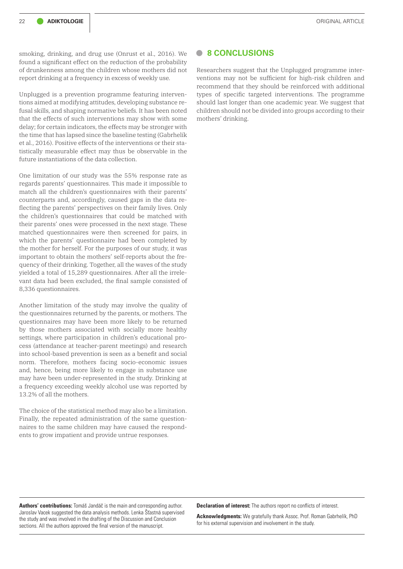smoking, drinking, and drug use (Onrust et al., 2016). We found a significant effect on the reduction of the probability of drunkenness among the children whose mothers did not report drinking at a frequency in excess of weekly use.

Unplugged is a prevention programme featuring interventions aimed at modifying attitudes, developing substance refusal skills, and shaping normative beliefs. It has been noted that the effects of such interventions may show with some delay; for certain indicators, the effects may be stronger with the time that has lapsed since the baseline testing (Gabrhelík et al., 2016). Positive effects of the interventions or their statistically measurable effect may thus be observable in the future instantiations of the data collection.

One limitation of our study was the 55% response rate as regards parents' questionnaires. This made it impossible to match all the children's questionnaires with their parents' counterparts and, accordingly, caused gaps in the data reflecting the parents' perspectives on their family lives. Only the children's questionnaires that could be matched with their parents' ones were processed in the next stage. These matched questionnaires were then screened for pairs, in which the parents' questionnaire had been completed by the mother for herself. For the purposes of our study, it was important to obtain the mothers' self-reports about the frequency of their drinking. Together, all the waves of the study yielded a total of 15,289 questionnaires. After all the irrelevant data had been excluded, the final sample consisted of 8,336 questionnaires.

Another limitation of the study may involve the quality of the questionnaires returned by the parents, or mothers. The questionnaires may have been more likely to be returned by those mothers associated with socially more healthy settings, where participation in children's educational process (attendance at teacher-parent meetings) and research into school-based prevention is seen as a benefit and social norm. Therefore, mothers facing socio-economic issues and, hence, being more likely to engage in substance use may have been under-represented in the study. Drinking at a frequency exceeding weekly alcohol use was reported by 13.2% of all the mothers.

The choice of the statistical method may also be a limitation. Finally, the repeated administration of the same questionnaires to the same children may have caused the respondents to grow impatient and provide untrue responses.

sections. All the authors approved the final version of the manuscript.

#### **• 8 CONCLUSIONS**

Researchers suggest that the Unplugged programme interventions may not be sufficient for high-risk children and recommend that they should be reinforced with additional types of specific targeted interventions. The programme should last longer than one academic year. We suggest that children should not be divided into groups according to their mothers' drinking.

**Authors' contributions:** Tomáš Jandáč is the main and corresponding author. Jaroslav Vacek suggested the data analysis methods. Lenka Šťastná supervised the study and was involved in the drafting of the Discussion and Conclusion

**Declaration of interest:** The authors report no conflicts of interest.

**Acknowledgments:** We gratefully thank Assoc. Prof. Roman Gabrhelík, PhD for his external supervision and involvement in the study.